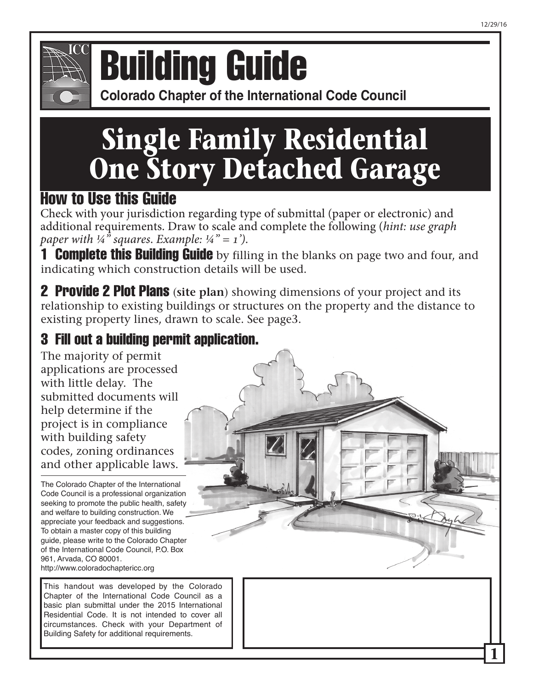

## **Colorado Chapter of the International Conference of Building Building Guide**

**Colorado Chapter of the International Code Council** 

# **Single Family Residential One Story Detached Garage**

### How to Use this Guide

Check with your jurisdiction regarding type of submittal (paper or electronic) and additional requirements. Draw to scale and complete the following (*hint: use graph paper with*  $\frac{1}{4}$ <sup>*s*</sup> *squares. Example:*  $\frac{1}{4}$ <sup>*n*</sup> = 1<sup>*j*</sup>.

**1 Complete this Building Guide** by filling in the blanks on page two and four, and indicating which construction details will be used.

2 Provide 2 Plot Plans (**site plan**) showing dimensions of your project and its relationship to existing buildings or structures on the property and the distance to existing property lines, drawn to scale. See page3.

### 3 Fill out a building permit application.

The majority of permit applications are processed with little delay. The submitted documents will help determine if the project is in compliance with building safety codes, zoning ordinances and other applicable laws.

The Colorado Chapter of the International Code Council is a professional organization seeking to promote the public health, safety and welfare to building construction. We appreciate your feedback and suggestions. To obtain a master copy of this building guide, please write to the Colorado Chapter of the International Code Council, P.O. Box 961, Arvada, CO 80001. http://www.coloradochaptericc.org

This handout was developed by the Colorado Chapter of the International Code Council as a basic plan submittal under the 2015 International Residential Code. It is not intended to cover all circumstances. Check with your Department of Building Safety for additional requirements.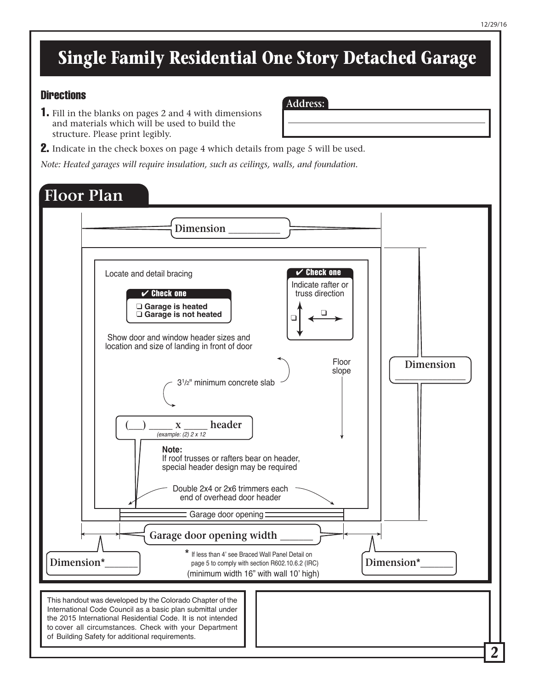#### 12/29/16

### **Single Family Residential One Story Detached Garage**

**Address:**

#### **Directions**

1. Fill in the blanks on pages 2 and 4 with dimensions and materials which will be used to build the structure. Please print legibly.

#### **2.** Indicate in the check boxes on page 4 which details from page 5 will be used.

*Note: Heated garages will require insulation, such as ceilings, walls, and foundation.* 

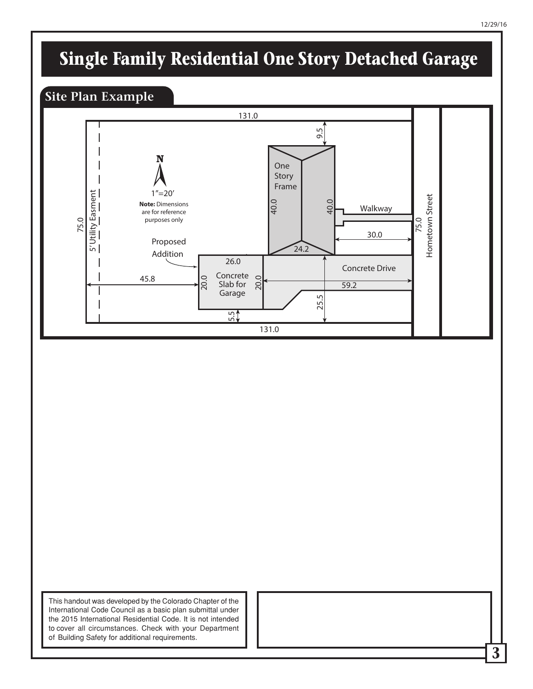# **Single Family Residential One Story Detached Garage**

#### **Site Plan Example**



This handout was developed by the Colorado Chapter of the International Code Council as a basic plan submittal under the 2015 International Residential Code. It is not intended to cover all circumstances. Check with your Department of Building Safety for additional requirements.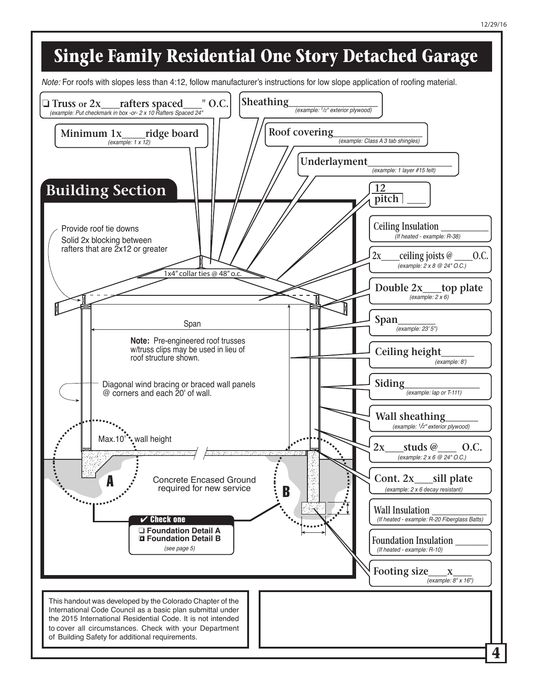